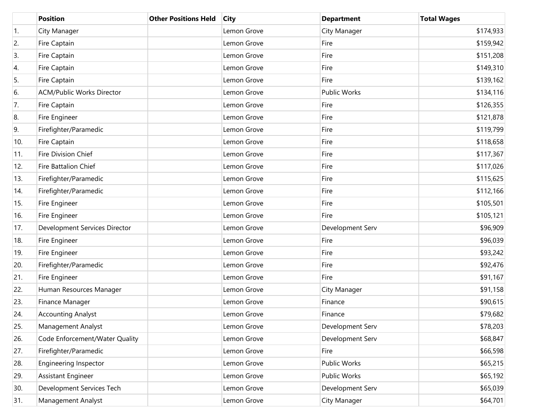|     | <b>Position</b>                  | <b>Other Positions Held</b> | <b>City</b> | <b>Department</b> | <b>Total Wages</b> |
|-----|----------------------------------|-----------------------------|-------------|-------------------|--------------------|
| 1.  | City Manager                     |                             | Lemon Grove | City Manager      | \$174,933          |
| 2.  | Fire Captain                     |                             | Lemon Grove | Fire              | \$159,942          |
| 3.  | Fire Captain                     |                             | Lemon Grove | Fire              | \$151,208          |
| 4.  | Fire Captain                     |                             | Lemon Grove | Fire              | \$149,310          |
| 5.  | Fire Captain                     |                             | Lemon Grove | Fire              | \$139,162          |
| 6.  | <b>ACM/Public Works Director</b> |                             | Lemon Grove | Public Works      | \$134,116          |
| 7.  | Fire Captain                     |                             | Lemon Grove | Fire              | \$126,355          |
| 8.  | Fire Engineer                    |                             | Lemon Grove | Fire              | \$121,878          |
| 9.  | Firefighter/Paramedic            |                             | Lemon Grove | Fire              | \$119,799          |
| 10. | Fire Captain                     |                             | Lemon Grove | Fire              | \$118,658          |
| 11. | Fire Division Chief              |                             | Lemon Grove | Fire              | \$117,367          |
| 12. | Fire Battalion Chief             |                             | Lemon Grove | Fire              | \$117,026          |
| 13. | Firefighter/Paramedic            |                             | Lemon Grove | Fire              | \$115,625          |
| 14. | Firefighter/Paramedic            |                             | Lemon Grove | Fire              | \$112,166          |
| 15. | Fire Engineer                    |                             | Lemon Grove | Fire              | \$105,501          |
| 16. | Fire Engineer                    |                             | Lemon Grove | Fire              | \$105,121          |
| 17. | Development Services Director    |                             | Lemon Grove | Development Serv  | \$96,909           |
| 18. | Fire Engineer                    |                             | Lemon Grove | Fire              | \$96,039           |
| 19. | Fire Engineer                    |                             | Lemon Grove | Fire              | \$93,242           |
| 20. | Firefighter/Paramedic            |                             | Lemon Grove | Fire              | \$92,476           |
| 21. | Fire Engineer                    |                             | Lemon Grove | Fire              | \$91,167           |
| 22. | Human Resources Manager          |                             | Lemon Grove | City Manager      | \$91,158           |
| 23. | Finance Manager                  |                             | Lemon Grove | Finance           | \$90,615           |
| 24. | <b>Accounting Analyst</b>        |                             | Lemon Grove | Finance           | \$79,682           |
| 25. | Management Analyst               |                             | Lemon Grove | Development Serv  | \$78,203           |
| 26. | Code Enforcement/Water Quality   |                             | Lemon Grove | Development Serv  | \$68,847           |
| 27. | Firefighter/Paramedic            |                             | Lemon Grove | Fire              | \$66,598           |
| 28. | Engineering Inspector            |                             | Lemon Grove | Public Works      | \$65,215           |
| 29. | Assistant Engineer               |                             | Lemon Grove | Public Works      | \$65,192           |
| 30. | Development Services Tech        |                             | Lemon Grove | Development Serv  | \$65,039           |
| 31. | Management Analyst               |                             | Lemon Grove | City Manager      | \$64,701           |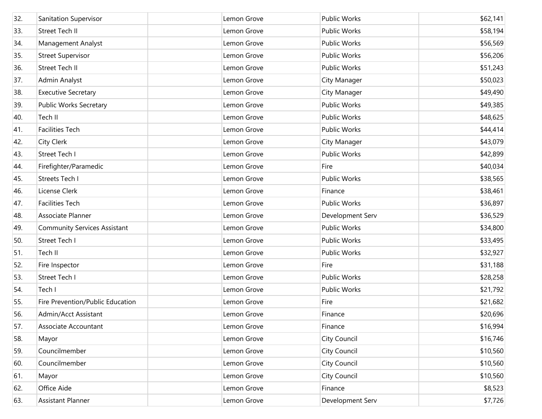| 32. | Sanitation Supervisor               | Lemon Grove | <b>Public Works</b> | \$62,141 |
|-----|-------------------------------------|-------------|---------------------|----------|
| 33. | Street Tech II                      | Lemon Grove | <b>Public Works</b> | \$58,194 |
| 34. | Management Analyst                  | Lemon Grove | <b>Public Works</b> | \$56,569 |
| 35. | <b>Street Supervisor</b>            | Lemon Grove | Public Works        | \$56,206 |
| 36. | <b>Street Tech II</b>               | Lemon Grove | <b>Public Works</b> | \$51,243 |
| 37. | Admin Analyst                       | Lemon Grove | City Manager        | \$50,023 |
| 38. | <b>Executive Secretary</b>          | Lemon Grove | City Manager        | \$49,490 |
| 39. | <b>Public Works Secretary</b>       | Lemon Grove | Public Works        | \$49,385 |
| 40. | Tech II                             | Lemon Grove | <b>Public Works</b> | \$48,625 |
| 41. | <b>Facilities Tech</b>              | Lemon Grove | Public Works        | \$44,414 |
| 42. | <b>City Clerk</b>                   | Lemon Grove | City Manager        | \$43,079 |
| 43. | <b>Street Tech I</b>                | Lemon Grove | Public Works        | \$42,899 |
| 44. | Firefighter/Paramedic               | Lemon Grove | Fire                | \$40,034 |
| 45. | <b>Streets Tech I</b>               | Lemon Grove | <b>Public Works</b> | \$38,565 |
| 46. | License Clerk                       | Lemon Grove | Finance             | \$38,461 |
| 47. | <b>Facilities Tech</b>              | Lemon Grove | Public Works        | \$36,897 |
| 48. | Associate Planner                   | Lemon Grove | Development Serv    | \$36,529 |
| 49. | <b>Community Services Assistant</b> | Lemon Grove | <b>Public Works</b> | \$34,800 |
| 50. | Street Tech I                       | Lemon Grove | <b>Public Works</b> | \$33,495 |
| 51. | Tech II                             | Lemon Grove | Public Works        | \$32,927 |
| 52. | Fire Inspector                      | Lemon Grove | Fire                | \$31,188 |
| 53. | Street Tech I                       | Lemon Grove | <b>Public Works</b> | \$28,258 |
| 54. | Tech I                              | Lemon Grove | Public Works        | \$21,792 |
| 55. | Fire Prevention/Public Education    | Lemon Grove | Fire                | \$21,682 |
| 56. | Admin/Acct Assistant                | Lemon Grove | Finance             | \$20,696 |
| 57. | Associate Accountant                | Lemon Grove | Finance             | \$16,994 |
| 58. | Mayor                               | Lemon Grove | City Council        | \$16,746 |
| 59. | Councilmember                       | Lemon Grove | City Council        | \$10,560 |
| 60. | Councilmember                       | Lemon Grove | City Council        | \$10,560 |
| 61. | Mayor                               | Lemon Grove | City Council        | \$10,560 |
| 62. | Office Aide                         | Lemon Grove | Finance             | \$8,523  |
| 63. | <b>Assistant Planner</b>            | Lemon Grove | Development Serv    | \$7,726  |